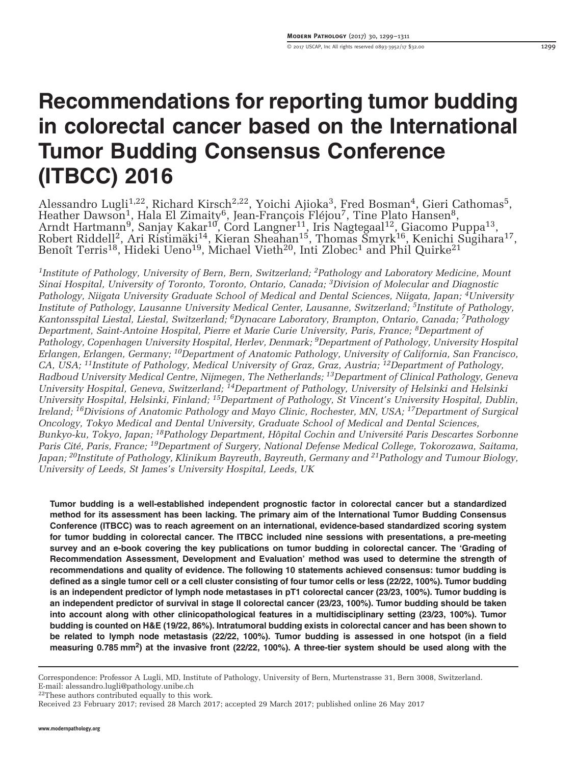# Recommendations for reporting tumor budding in colorectal cancer based on the International Tumor Budding Consensus Conference (ITBCC) 2016

Alessandro Lugli<sup>1,22</sup>, Richard Kirsch<sup>2,22</sup>, Yoichi Ajioka<sup>3</sup>, Fred Bosman<sup>4</sup>, Gieri Cathomas<sup>5</sup>, Heather Dawson<sup>1</sup>, Hala El Zimaity<sup>6</sup>, Jean-François Fléjou<sup>7</sup>, Tine Plato Hansen<sup>8</sup>, Arndt Hartmann<sup>9</sup>, Sanjay Kakar<sup>10</sup>, Cord Langner<sup>11</sup>, Iris Nagtegaal<sup>12</sup>, Giacomo Puppa<sup>13</sup>,<br>Robert Riddell<sup>2</sup>, Ari Ristimäki<sup>14</sup>, Kieran Sheahan<sup>15</sup>, Thomas Smyrk<sup>16</sup>, Kenichi Sugihara<sup>17</sup>, Benoît Terris<sup>18</sup>, Hideki Ueno<sup>19</sup>, Michael Vieth<sup>20</sup>, Inti Zlobec<sup>1</sup> and Phil Quirke<sup>21</sup>

<sup>1</sup>Institute of Pathology, University of Bern, Bern, Switzerland; <sup>2</sup>Pathology and Laboratory Medicine, Mount Sinai Hospital, University of Toronto, Toronto, Ontario, Canada; 3Division of Molecular and Diagnostic Pathology, Niigata University Graduate School of Medical and Dental Sciences, Niigata, Japan; <sup>4</sup>University Institute of Pathology, Lausanne University Medical Center, Lausanne, Switzerland; 5Institute of Pathology, Kantonsspital Liestal, Liestal, Switzerland; 6Dynacare Laboratory, Brampton, Ontario, Canada; 7Pathology Department, Saint-Antoine Hospital, Pierre et Marie Curie University, Paris, France; <sup>8</sup>Department of Pathology, Copenhagen University Hospital, Herlev, Denmark; <sup>9</sup>Department of Pathology, University Hospital Erlangen, Erlangen, Germany; 10Department of Anatomic Pathology, University of California, San Francisco, CA, USA; 11Institute of Pathology, Medical University of Graz, Graz, Austria; 12Department of Pathology, Radboud University Medical Centre, Nijmegen, The Netherlands; 13Department of Clinical Pathology, Geneva University Hospital, Geneva, Switzerland; <sup>14</sup>Department of Pathology, University of Helsinki and Helsinki University Hospital, Helsinki, Finland; 15Department of Pathology, St Vincent's University Hospital, Dublin, Ireland; 16Divisions of Anatomic Pathology and Mayo Clinic, Rochester, MN, USA; 17Department of Surgical Oncology, Tokyo Medical and Dental University, Graduate School of Medical and Dental Sciences, Bunkyo-ku, Tokyo, Japan; 18Pathology Department, Hôpital Cochin and Université Paris Descartes Sorbonne Paris Cité, Paris, France; <sup>19</sup>Department of Surgery, National Defense Medical College, Tokorozawa, Saitama, Japan; <sup>20</sup>Institute of Pathology, Klinikum Bayreuth, Bayreuth, Germany and <sup>21</sup>Pathology and Tumour Biology, University of Leeds, St James's University Hospital, Leeds, UK

Tumor budding is a well-established independent prognostic factor in colorectal cancer but a standardized method for its assessment has been lacking. The primary aim of the International Tumor Budding Consensus Conference (ITBCC) was to reach agreement on an international, evidence-based standardized scoring system for tumor budding in colorectal cancer. The ITBCC included nine sessions with presentations, a pre-meeting survey and an e-book covering the key publications on tumor budding in colorectal cancer. The 'Grading of Recommendation Assessment, Development and Evaluation' method was used to determine the strength of recommendations and quality of evidence. The following 10 statements achieved consensus: tumor budding is defined as a single tumor cell or a cell cluster consisting of four tumor cells or less (22/22, 100%). Tumor budding is an independent predictor of lymph node metastases in pT1 colorectal cancer (23/23, 100%). Tumor budding is an independent predictor of survival in stage II colorectal cancer (23/23, 100%). Tumor budding should be taken into account along with other clinicopathological features in a multidisciplinary setting (23/23, 100%). Tumor budding is counted on H&E (19/22, 86%). Intratumoral budding exists in colorectal cancer and has been shown to be related to lymph node metastasis (22/22, 100%). Tumor budding is assessed in one hotspot (in a field measuring 0.785 mm<sup>2</sup>) at the invasive front (22/22, 100%). A three-tier system should be used along with the

Correspondence: Professor A Lugli, MD, Institute of Pathology, University of Bern, Murtenstrasse 31, Bern 3008, Switzerland. E-mail: [alessandro.lugli@pathology.unibe.ch](mailto:alessandro.lugli@pathology.unibe.ch)

 $22$ These authors contributed equally to this work.

Received 23 February 2017; revised 28 March 2017; accepted 29 March 2017; published online 26 May 2017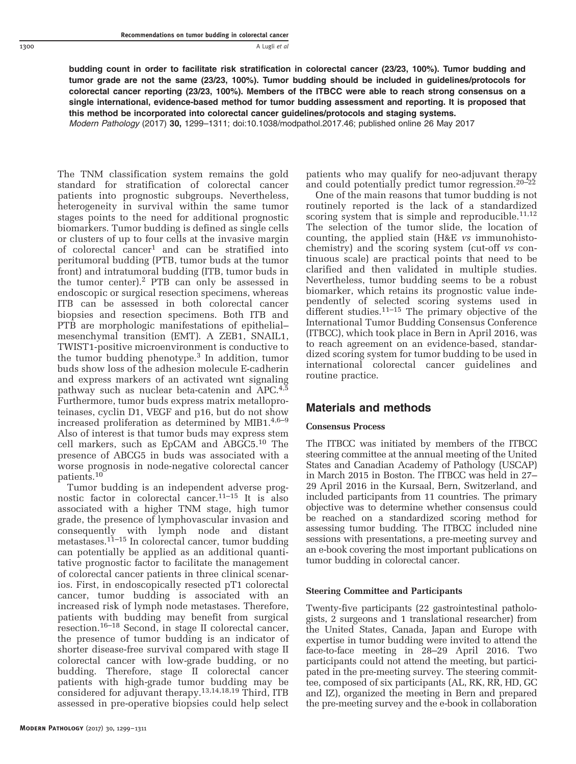1300 A Lugli et al

budding count in order to facilitate risk stratification in colorectal cancer (23/23, 100%). Tumor budding and tumor grade are not the same (23/23, 100%). Tumor budding should be included in guidelines/protocols for colorectal cancer reporting (23/23, 100%). Members of the ITBCC were able to reach strong consensus on a single international, evidence-based method for tumor budding assessment and reporting. It is proposed that this method be incorporated into colorectal cancer guidelines/protocols and staging systems.

Modern Pathology (2017) 30, 1299–1311; doi[:10.1038/modpathol.2017.46;](http://dx.doi.org/10.1038/modpathol.2017.46) published online 26 May 2017

The TNM classification system remains the gold standard for stratification of colorectal cancer patients into prognostic subgroups. Nevertheless, heterogeneity in survival within the same tumor stages points to the need for additional prognostic biomarkers. Tumor budding is defined as single cells or clusters of up to four cells at the invasive margin of colorectal cancer[1](#page-9-0) and can be stratified into peritumoral budding (PTB, tumor buds at the tumor front) and intratumoral budding (ITB, tumor buds in the tumor center).<sup>2</sup> PTB can only be assessed in endoscopic or surgical resection specimens, whereas ITB can be assessed in both colorectal cancer biopsies and resection specimens. Both ITB and PTB are morphologic manifestations of epithelial– mesenchymal transition (EMT). A ZEB1, SNAIL1, TWIST1-positive microenvironment is conductive to the tumor budding phenotype.[3](#page-9-0) In addition, tumor buds show loss of the adhesion molecule E-cadherin and express markers of an activated wnt signaling pathway such as nuclear beta-catenin and  $\text{APC}.^{4,5}$  $\text{APC}.^{4,5}$  $\text{APC}.^{4,5}$ Furthermore, tumor buds express matrix metalloproteinases, cyclin D1, VEGF and p16, but do not show increased proliferation as determined by MIB1. $4,6-9$ Also of interest is that tumor buds may express stem cell markers, such as EpCAM and ABGC5.[10](#page-9-0) The presence of ABCG5 in buds was associated with a worse prognosis in node-negative colorectal cancer patients.[10](#page-9-0)

Tumor budding is an independent adverse prognostic factor in colorectal cancer.11–[15](#page-9-0) It is also associated with a higher TNM stage, high tumor grade, the presence of lymphovascular invasion and consequently with lymph node and distant metastases.[11](#page-9-0)–<sup>15</sup> In colorectal cancer, tumor budding can potentially be applied as an additional quantitative prognostic factor to facilitate the management of colorectal cancer patients in three clinical scenarios. First, in endoscopically resected pT1 colorectal cancer, tumor budding is associated with an increased risk of lymph node metastases. Therefore, patients with budding may benefit from surgical resection.[16](#page-9-0)–<sup>18</sup> Second, in stage II colorectal cancer, the presence of tumor budding is an indicator of shorter disease-free survival compared with stage II colorectal cancer with low-grade budding, or no budding. Therefore, stage II colorectal cancer patients with high-grade tumor budding may be considered for adjuvant therapy.[13,14,](#page-9-0)[18,19](#page-10-0) Third, ITB assessed in pre-operative biopsies could help select

patients who may qualify for neo-adjuvant therapy and could potentially predict tumor regression.[20](#page-10-0)–<sup>22</sup>

One of the main reasons that tumor budding is not routinely reported is the lack of a standardized scoring system that is simple and reproducible.<sup>[11,12](#page-9-0)</sup> The selection of the tumor slide, the location of counting, the applied stain (H&E vs immunohistochemistry) and the scoring system (cut-off vs continuous scale) are practical points that need to be clarified and then validated in multiple studies. Nevertheless, tumor budding seems to be a robust biomarker, which retains its prognostic value independently of selected scoring systems used in different studies. $11-15$  $11-15$  The primary objective of the International Tumor Budding Consensus Conference (ITBCC), which took place in Bern in April 2016, was to reach agreement on an evidence-based, standardized scoring system for tumor budding to be used in international colorectal cancer guidelines and routine practice.

## Materials and methods

#### Consensus Process

The ITBCC was initiated by members of the ITBCC steering committee at the annual meeting of the United States and Canadian Academy of Pathology (USCAP) in March 2015 in Boston. The ITBCC was held in 27– 29 April 2016 in the Kursaal, Bern, Switzerland, and included participants from 11 countries. The primary objective was to determine whether consensus could be reached on a standardized scoring method for assessing tumor budding. The ITBCC included nine sessions with presentations, a pre-meeting survey and an e-book covering the most important publications on tumor budding in colorectal cancer.

### Steering Committee and Participants

Twenty-five participants (22 gastrointestinal pathologists, 2 surgeons and 1 translational researcher) from the United States, Canada, Japan and Europe with expertise in tumor budding were invited to attend the face-to-face meeting in 28–29 April 2016. Two participants could not attend the meeting, but participated in the pre-meeting survey. The steering committee, composed of six participants (AL, RK, RR, HD, GC and IZ), organized the meeting in Bern and prepared the pre-meeting survey and the e-book in collaboration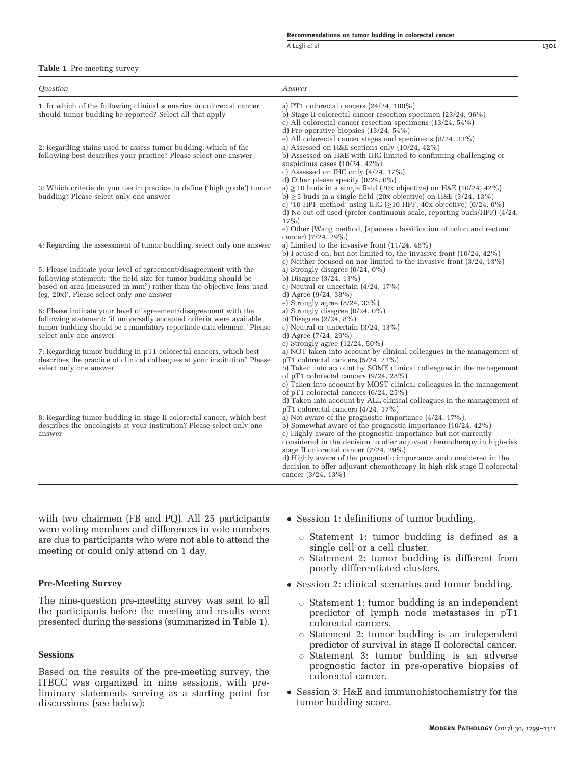#### Recommendations on tumor budding in colorectal cancer

A Lugli et al 1301

#### Table 1 Pre-meeting survey

| Question                                                                                                                                                                                                                                                              | Answer                                                                                                                                                                                                                                                                                                                                                                                                                                                                            |
|-----------------------------------------------------------------------------------------------------------------------------------------------------------------------------------------------------------------------------------------------------------------------|-----------------------------------------------------------------------------------------------------------------------------------------------------------------------------------------------------------------------------------------------------------------------------------------------------------------------------------------------------------------------------------------------------------------------------------------------------------------------------------|
| 1. In which of the following clinical scenarios in colorectal cancer<br>should tumor budding be reported? Select all that apply                                                                                                                                       | a) PT1 colorectal cancers $(24/24, 100\%)$<br>b) Stage II colorectal cancer resection specimen $(23/24, 96\%)$<br>c) All colorectal cancer resection specimens $(13/24, 54\%)$<br>d) Pre-operative biopsies $(13/24, 54\%)$                                                                                                                                                                                                                                                       |
| 2: Regarding stains used to assess tumor budding, which of the<br>following best describes your practice? Please select one answer                                                                                                                                    | e) All colorectal cancer stages and specimens (8/24, 33%)<br>a) Assessed on H&E sections only $(10/24, 42\%)$<br>b) Assessed on H&E with IHC limited to confirming challenging or<br>suspicious cases $(10/24, 42\%)$                                                                                                                                                                                                                                                             |
| 3: Which criteria do you use in practice to define ('high grade') tumor<br>budding? Please select only one answer                                                                                                                                                     | c) Assessed on IHC only $(4/24, 17%)$<br>d) Other please specify $(0/24, 0\%)$<br>a) $\geq$ 10 buds in a single field (20x objective) on H&E (10/24, 42%)<br>b) $\geq$ 5 buds in a single field (20x objective) on H&E (3/24, 13%)<br>c) '10 HPF method' using IHC ( $\geq$ 10 HPF, 40x objective) (0/24, 0%)<br>d) No cut-off used (prefer continuous scale, reporting buds/HPF) (4/24,                                                                                          |
| 4: Regarding the assessment of tumor budding, select only one answer                                                                                                                                                                                                  | $17\%$ )<br>e) Other (Wang method, Japanese classification of colon and rectum<br>cancer) (7/24, 29%)<br>a) Limited to the invasive front $(11/24, 46\%)$<br>b) Focused on, but not limited to, the invasive front $(10/24, 42\%)$                                                                                                                                                                                                                                                |
| 5: Please indicate your level of agreement/disagreement with the<br>following statement: 'the field size for tumor budding should be<br>based on area (measured in mm <sup>2</sup> ) rather than the objective lens used<br>(eg, 20x)'. Please select only one answer | c) Neither focused on nor limited to the invasive front $(3/24, 13\%)$<br>a) Strongly disagree $(0/24, 0\%)$<br>b) Disagree $(3/24, 13\%)$<br>c) Neutral or uncertain $(4/24, 17%)$<br>d) Agree $(9/24, 38\%)$                                                                                                                                                                                                                                                                    |
| 6: Please indicate your level of agreement/disagreement with the<br>following statement: 'if universally accepted criteria were available,<br>tumor budding should be a mandatory reportable data element.' Please<br>select only one answer                          | e) Strongly agree $(8/24, 33\%)$<br>a) Strongly disagree $(0/24, 0\%)$<br>b) Disagree $(2/24, 8\%)$<br>c) Neutral or uncertain $(3/24, 13\%)$<br>d) Agree $(7/24, 29%)$                                                                                                                                                                                                                                                                                                           |
| 7: Regarding tumor budding in pT1 colorectal cancers, which best<br>describes the practice of clinical colleagues at your institution? Please<br>select only one answer                                                                                               | e) Strongly agree $(12/24, 50\%)$<br>a) NOT taken into account by clinical colleagues in the management of<br>$pT1$ colorectal cancers $(5/24, 21\%)$<br>b) Taken into account by SOME clinical colleagues in the management<br>of pT1 colorectal cancers (9/24, 28%)<br>c) Taken into account by MOST clinical colleagues in the management                                                                                                                                      |
| 8: Regarding tumor budding in stage II colorectal cancer, which best<br>describes the oncologists at your institution? Please select only one<br>answer                                                                                                               | of pT1 colorectal cancers $(6/24, 25%)$<br>d) Taken into account by ALL clinical colleagues in the management of<br>pT1 colorectal cancers $(4/24, 17\%)$<br>a) Not aware of the prognostic importance $(4/24, 17\%)$ ,<br>b) Somewhat aware of the prognostic importance $(10/24, 42\%)$<br>c) Highly aware of the prognostic importance but not currently<br>considered in the decision to offer adjuvant chemotherapy in high-risk<br>stage II colorectal cancer $(7/24, 29%)$ |

cancer (3/24, 13%)

with two chairmen (FB and PQ). All 25 participants were voting members and differences in vote numbers are due to participants who were not able to attend the meeting or could only attend on 1 day.

#### Pre-Meeting Survey

The nine-question pre-meeting survey was sent to all the participants before the meeting and results were presented during the sessions (summarized in Table 1).

#### **Sessions**

Based on the results of the pre-meeting survey, the ITBCC was organized in nine sessions, with preliminary statements serving as a starting point for discussions (see below):

• Session 1: definitions of tumor budding.

d) Highly aware of the prognostic importance and considered in the decision to offer adjuvant chemotherapy in high-risk stage II colorectal

- $\circ$  Statement 1: tumor budding is defined as a single cell or a cell cluster.
- $\circ$  Statement 2: tumor budding is different from poorly differentiated clusters.
- Session 2: clinical scenarios and tumor budding.
	- $\circ$  Statement 1: tumor budding is an independent predictor of lymph node metastases in pT1 colorectal cancers.
	- $\circ$  Statement 2: tumor budding is an independent predictor of survival in stage II colorectal cancer.
	- $\circ$  Statement 3: tumor budding is an adverse prognostic factor in pre-operative biopsies of colorectal cancer.
- Session 3: H&E and immunohistochemistry for the tumor budding score.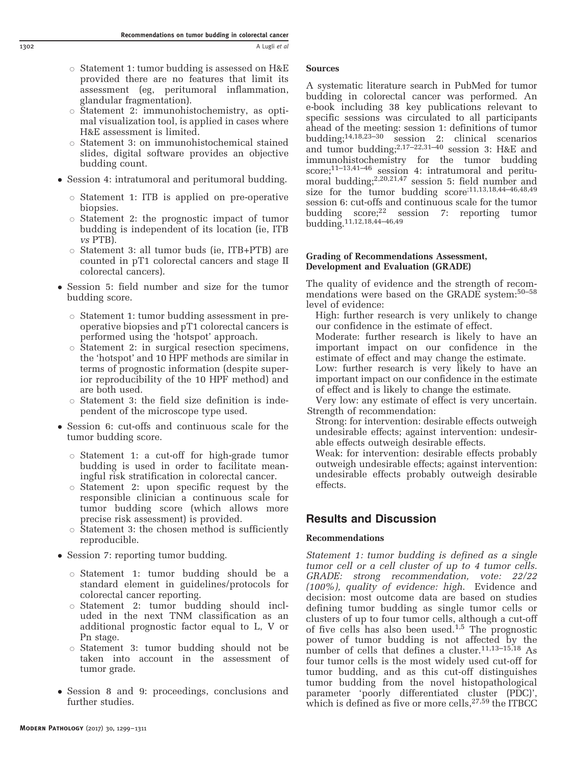- $\circ$  Statement 1: tumor budding is assessed on H&E provided there are no features that limit its assessment (eg, peritumoral inflammation, glandular fragmentation).
- $\circ$  Statement 2: immunohistochemistry, as optimal visualization tool, is applied in cases where H&E assessment is limited.
- $\circ$  Statement 3: on immunohistochemical stained slides, digital software provides an objective budding count.
- Session 4: intratumoral and peritumoral budding.
	- $\circ$  Statement 1: ITB is applied on pre-operative biopsies.
	- $\circ$  Statement 2: the prognostic impact of tumor budding is independent of its location (ie, ITB vs PTB).
	- $\circ$  Statement 3: all tumor buds (ie, ITB+PTB) are counted in pT1 colorectal cancers and stage II colorectal cancers).
- Session 5: field number and size for the tumor budding score.
	- $\circ$  Statement 1: tumor budding assessment in preoperative biopsies and pT1 colorectal cancers is performed using the 'hotspot' approach.
	- $\circ$  Statement 2: in surgical resection specimens, the 'hotspot' and 10 HPF methods are similar in terms of prognostic information (despite superior reproducibility of the 10 HPF method) and are both used.
	- $\circ$  Statement 3: the field size definition is independent of the microscope type used.
- Session 6: cut-offs and continuous scale for the tumor budding score.
	- $\circ$  Statement 1: a cut-off for high-grade tumor budding is used in order to facilitate meaningful risk stratification in colorectal cancer.
	- $\circ$  Statement 2: upon specific request by the responsible clinician a continuous scale for tumor budding score (which allows more precise risk assessment) is provided.
	- $\circ$  Statement 3: the chosen method is sufficiently reproducible.
- Session 7: reporting tumor budding.
	- o Statement 1: tumor budding should be a standard element in guidelines/protocols for colorectal cancer reporting.
	- $\circ$  Statement 2: tumor budding should included in the next TNM classification as an additional prognostic factor equal to L, V or Pn stage.
	- $\circ$  Statement 3: tumor budding should not be taken into account in the assessment of tumor grade.
- Session 8 and 9: proceedings, conclusions and further studies.

## Sources

A systematic literature search in PubMed for tumor budding in colorectal cancer was performed. An e-book including 38 key publications relevant to specific sessions was circulated to all participants ahead of the meeting: session 1: definitions of tumor<br>budding;<sup>14,18,23–30</sup> session 2: clinical scenarios  $s$ ession 2: clinical scenarios and tumor budding;  $2,17-22,31-40$  $2,17-22,31-40$  $2,17-22,31-40$  $2,17-22,31-40$  $2,17-22,31-40$  session 3: H&E and immunohistochemistry for the tumor budding score:<sup>11-13,41-[46](#page-10-0)</sup> session 4: intratumoral and peritu-moral budding;<sup>[2,](#page-9-0)[20,21,47](#page-10-0)</sup> session 5: field number and size for the tumor budding  $score^{(11,13,18,44-46,48,49)}$  $score^{(11,13,18,44-46,48,49)}$  $score^{(11,13,18,44-46,48,49)}$  $score^{(11,13,18,44-46,48,49)}$  $score^{(11,13,18,44-46,48,49)}$  $score^{(11,13,18,44-46,48,49)}$ session 6: cut-offs and continuous scale for the tumor budding  $score;^{22}$  session 7: reporting tumor budding.<sup>11,12[,18,44](#page-10-0)–46,[49](#page-10-0)</sup>

## Grading of Recommendations Assessment, Development and Evaluation (GRADE)

The quality of evidence and the strength of recommendations were based on the GRADE system:50–[58](#page-10-0) level of evidence:

- High: further research is very unlikely to change our confidence in the estimate of effect.
- Moderate: further research is likely to have an important impact on our confidence in the estimate of effect and may change the estimate.
- Low: further research is very likely to have an important impact on our confidence in the estimate of effect and is likely to change the estimate.
- Very low: any estimate of effect is very uncertain. Strength of recommendation:
	- Strong: for intervention: desirable effects outweigh undesirable effects; against intervention: undesirable effects outweigh desirable effects.
	- Weak: for intervention: desirable effects probably outweigh undesirable effects; against intervention: undesirable effects probably outweigh desirable effects.

# Results and Discussion

## Recommendations

Statement 1: tumor budding is defined as a single tumor cell or a cell cluster of up to 4 tumor cells. GRADE: strong recommendation, vote: 22/22 (100%), quality of evidence: high. Evidence and decision: most outcome data are based on studies defining tumor budding as single tumor cells or clusters of up to four tumor cells, although a cut-off of five cells has also been used. $1,5$  The prognostic power of tumor budding is not affected by the number of cells that defines a cluster.[11,](#page-9-0)13–[15,](#page-9-0)[18](#page-10-0) As four tumor cells is the most widely used cut-off for tumor budding, and as this cut-off distinguishes tumor budding from the novel histopathological parameter 'poorly differentiated cluster (PDC)', which is defined as five or more cells,  $27,59$  $27,59$  the ITBCC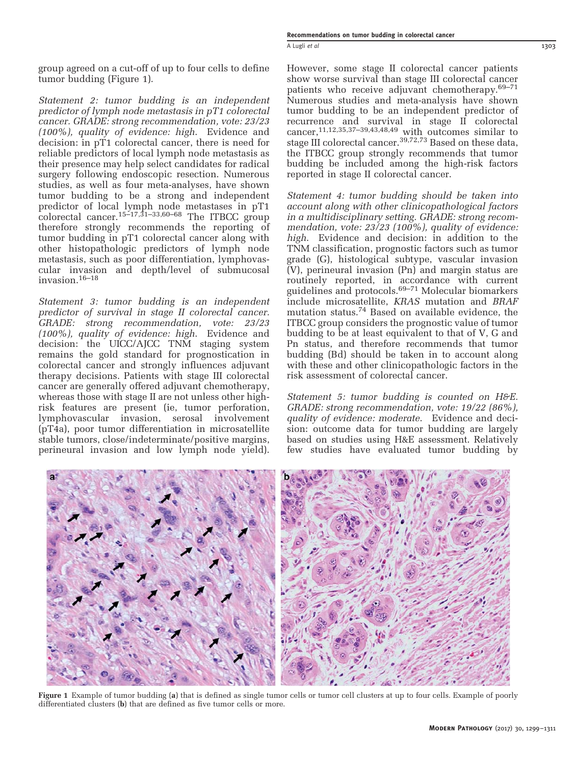group agreed on a cut-off of up to four cells to define tumor budding (Figure 1).

Statement 2: tumor budding is an independent predictor of lymph node metastasis in pT1 colorectal cancer. GRADE: strong recommendation, vote: 23/23 (100%), quality of evidence: high. Evidence and decision: in pT1 colorectal cancer, there is need for reliable predictors of local lymph node metastasis as their presence may help select candidates for radical surgery following endoscopic resection. Numerous studies, as well as four meta-analyses, have shown tumor budding to be a strong and independent predictor of local lymph node metastases in pT1 colorectal cancer.<sup>15–[17,](#page-9-0)31–[33,](#page-10-0)60–[68](#page-11-0)</sup> The ITBCC group therefore strongly recommends the reporting of tumor budding in pT1 colorectal cancer along with other histopathologic predictors of lymph node metastasis, such as poor differentiation, lymphovascular invasion and depth/level of submucosal invasion.[16](#page-9-0)–<sup>18</sup>

Statement 3: tumor budding is an independent predictor of survival in stage II colorectal cancer. GRADE: strong recommendation, vote: 23/23 (100%), quality of evidence: high. Evidence and decision: the UICC/AJCC TNM staging system remains the gold standard for prognostication in colorectal cancer and strongly influences adjuvant therapy decisions. Patients with stage III colorectal cancer are generally offered adjuvant chemotherapy, whereas those with stage II are not unless other highrisk features are present (ie, tumor perforation, lymphovascular invasion, serosal involvement (pT4a), poor tumor differentiation in microsatellite stable tumors, close/indeterminate/positive margins, perineural invasion and low lymph node yield).

However, some stage II colorectal cancer patients show worse survival than stage III colorectal cancer patients who receive adjuvant chemotherapy.69–[71](#page-11-0) Numerous studies and meta-analysis have shown tumor budding to be an independent predictor of recurrence and survival in stage II colorectal cancer,[11](#page-9-0),[12,](#page-9-0)[35](#page-10-0),37–[39,43,48,49](#page-10-0) with outcomes similar to stage III colorectal cancer.[39,](#page-10-0)[72,73](#page-11-0) Based on these data, the ITBCC group strongly recommends that tumor budding be included among the high-risk factors reported in stage II colorectal cancer.

Statement 4: tumor budding should be taken into account along with other clinicopathological factors in a multidisciplinary setting. GRADE: strong recommendation, vote: 23/23 (100%), quality of evidence: high. Evidence and decision: in addition to the TNM classification, prognostic factors such as tumor grade (G), histological subtype, vascular invasion (V), perineural invasion (Pn) and margin status are routinely reported, in accordance with current guidelines and protocols. $69-71$  $69-71$  Molecular biomarkers include microsatellite, KRAS mutation and BRAF mutation status.[74](#page-11-0) Based on available evidence, the ITBCC group considers the prognostic value of tumor budding to be at least equivalent to that of V, G and Pn status, and therefore recommends that tumor budding (Bd) should be taken in to account along with these and other clinicopathologic factors in the risk assessment of colorectal cancer.

Statement 5: tumor budding is counted on H&E. GRADE: strong recommendation, vote: 19/22 (86%), quality of evidence: moderate. Evidence and decision: outcome data for tumor budding are largely based on studies using H&E assessment. Relatively few studies have evaluated tumor budding by



Figure 1 Example of tumor budding (a) that is defined as single tumor cells or tumor cell clusters at up to four cells. Example of poorly differentiated clusters (b) that are defined as five tumor cells or more.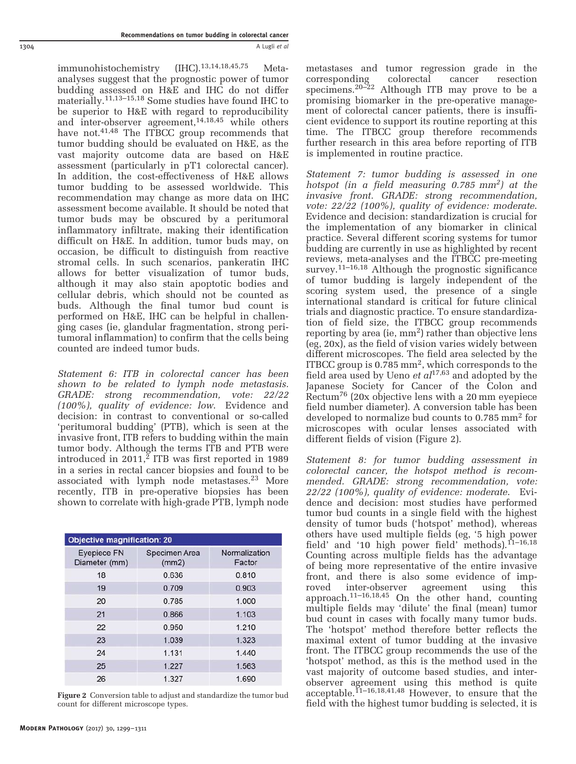immunohistochemistry (IHC).[13,14](#page-9-0)[,18,45,](#page-10-0)[75](#page-11-0) Metaanalyses suggest that the prognostic power of tumor budding assessed on H&E and IHC do not differ materially.[11,13](#page-9-0)–15[,18](#page-10-0) Some studies have found IHC to be superior to H&E with regard to reproducibility and inter-observer agreement,<sup>[14,](#page-9-0)[18,45](#page-10-0)</sup> while others have not.<sup>[41,48](#page-10-0)</sup> The ITBCC group recommends that tumor budding should be evaluated on H&E, as the vast majority outcome data are based on H&E assessment (particularly in pT1 colorectal cancer). In addition, the cost-effectiveness of H&E allows tumor budding to be assessed worldwide. This recommendation may change as more data on IHC assessment become available. It should be noted that tumor buds may be obscured by a peritumoral inflammatory infiltrate, making their identification difficult on H&E. In addition, tumor buds may, on occasion, be difficult to distinguish from reactive stromal cells. In such scenarios, pankeratin IHC allows for better visualization of tumor buds, although it may also stain apoptotic bodies and cellular debris, which should not be counted as buds. Although the final tumor bud count is performed on H&E, IHC can be helpful in challenging cases (ie, glandular fragmentation, strong peritumoral inflammation) to confirm that the cells being counted are indeed tumor buds.

Statement 6: ITB in colorectal cancer has been shown to be related to lymph node metastasis. GRADE: strong recommendation, vote: 22/22 (100%), quality of evidence: low. Evidence and decision: in contrast to conventional or so-called 'peritumoral budding' (PTB), which is seen at the invasive front, ITB refers to budding within the main tumor body. Although the terms ITB and PTB were introduced in  $2011$  $2011$ ,<sup>2</sup> ITB was first reported in 1989 in a series in rectal cancer biopsies and found to be associated with lymph node metastases.<sup>[23](#page-10-0)</sup> More recently, ITB in pre-operative biopsies has been shown to correlate with high-grade PTB, lymph node

| <b>Objective magnification: 20</b>  |                        |                         |  |  |
|-------------------------------------|------------------------|-------------------------|--|--|
| <b>Eyepiece FN</b><br>Diameter (mm) | Specimen Area<br>(mm2) | Normalization<br>Factor |  |  |
| 18                                  | 0.636                  | 0.810                   |  |  |
| 19                                  | 0.709                  | 0.903                   |  |  |
| 20                                  | 0.785                  | 1.000                   |  |  |
| 21                                  | 0.866                  | 1.103                   |  |  |
| 22                                  | 0.950                  | 1.210                   |  |  |
| 23                                  | 1.039                  | 1.323                   |  |  |
| 24                                  | 1.131                  | 1.440                   |  |  |
| 25                                  | 1.227                  | 1.563                   |  |  |
| 26                                  | 1.327                  | 1.690                   |  |  |

metastases and tumor regression grade in the corresponding colorectal cancer resection specimens.20–[22](#page-10-0) Although ITB may prove to be a promising biomarker in the pre-operative management of colorectal cancer patients, there is insufficient evidence to support its routine reporting at this time. The ITBCC group therefore recommends further research in this area before reporting of ITB is implemented in routine practice.

Statement 7: tumor budding is assessed in one hotspot (in a field measuring  $0.785$  mm<sup>2</sup>) at the invasive front. GRADE: strong recommendation, vote: 22/22 (100%), quality of evidence: moderate. Evidence and decision: standardization is crucial for the implementation of any biomarker in clinical practice. Several different scoring systems for tumor budding are currently in use as highlighted by recent reviews, meta-analyses and the ITBCC pre-meeting survey.<sup>[11](#page-9-0)-16[,18](#page-10-0)</sup> Although the prognostic significance of tumor budding is largely independent of the scoring system used, the presence of a single international standard is critical for future clinical trials and diagnostic practice. To ensure standardization of field size, the ITBCC group recommends reporting by area (ie,  $mm<sup>2</sup>$ ) rather than objective lens (eg, 20x), as the field of vision varies widely between different microscopes. The field area selected by the ITBCC group is  $0.785 \text{ mm}^2$ , which corresponds to the field area used by Ueno  $et$   $al^{17,63}$  $al^{17,63}$  $al^{17,63}$  $al^{17,63}$  and adopted by the Japanese Society for Cancer of the Colon and Rectum[76](#page-11-0) (20x objective lens with a 20 mm eyepiece field number diameter). A conversion table has been developed to normalize bud counts to 0.785 mm2 for microscopes with ocular lenses associated with different fields of vision (Figure 2).

Statement 8: for tumor budding assessment in colorectal cancer, the hotspot method is recommended. GRADE: strong recommendation, vote: 22/22 (100%), quality of evidence: moderate. Evidence and decision: most studies have performed tumor bud counts in a single field with the highest density of tumor buds ('hotspot' method), whereas others have used multiple fields (eg, '5 high power field' and '10 high power field' methods).<sup>11-[16](#page-9-0)[,18](#page-10-0)</sup> Counting across multiple fields has the advantage of being more representative of the entire invasive front, and there is also some evidence of imp-<br>roved inter-observer agreement using this roved inter-observer agreement using this approach.<sup>11–[16](#page-9-0)[,18,45](#page-10-0)</sup> On the other hand, counting multiple fields may 'dilute' the final (mean) tumor bud count in cases with focally many tumor buds. The 'hotspot' method therefore better reflects the maximal extent of tumor budding at the invasive front. The ITBCC group recommends the use of the 'hotspot' method, as this is the method used in the vast majority of outcome based studies, and interobserver agreement using this method is quite acceptable.<sup> $11-16,18,41,48$  $11-16,18,41,48$  $11-16,18,41,48$ </sup> However, to ensure that the Figure 2 Conversion table to adjust and standardize the tumor budding is selected, it is field with the highest tumor budding is selected, it is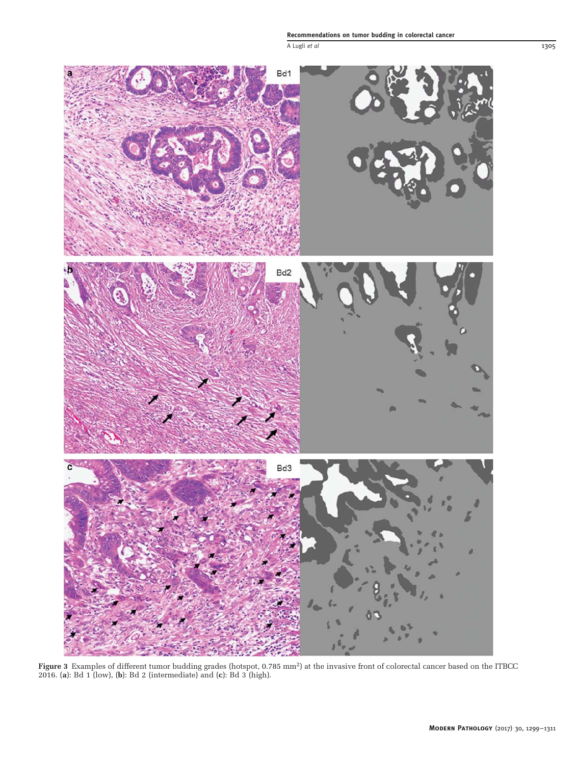<span id="page-6-0"></span>

Figure 3 Examples of different tumor budding grades (hotspot, 0.785 mm<sup>2</sup>) at the invasive front of colorectal cancer based on the ITBCC 2016. (a): Bd 1 (low), (b): Bd 2 (intermediate) and (c): Bd 3 (high).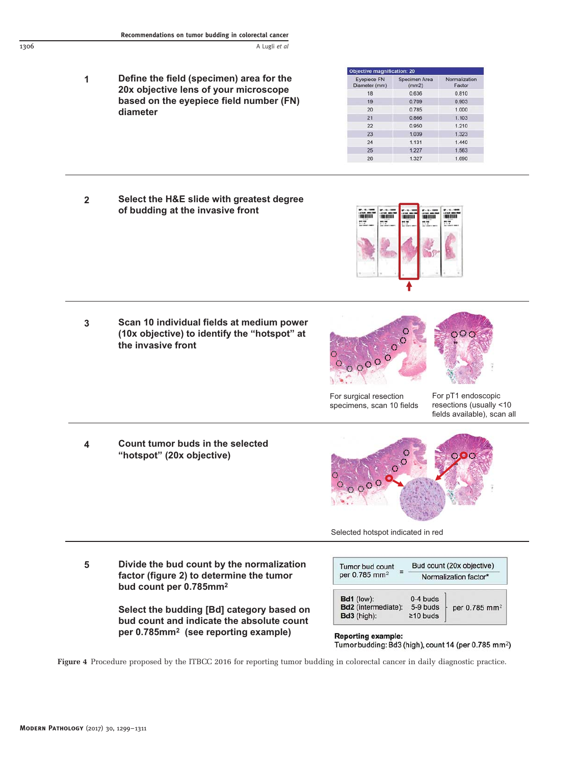<span id="page-7-0"></span>**Define the field (specimen) area for the 20x objective lens of your microscope based on the eyepiece field number (FN) diameter 1**

| <b>Eyepiece FN</b><br>Diameter (mm) | Specimen Area<br>(mm2) | Normalization<br>Factor |
|-------------------------------------|------------------------|-------------------------|
| 18                                  | 0.636                  | 0.810                   |
| 19                                  | 0.709                  | 0.903                   |
| 20                                  | 0.785                  | 1.000                   |
| 21                                  | 0.866                  | 1.103                   |
| 22                                  | 0.950                  | 1.210                   |
| 23                                  | 1.039                  | 1.323                   |
| 24                                  | 1.131                  | 1.440                   |
| 25                                  | 1.227                  | 1.563                   |
| 26                                  | 1.327                  | 1.690                   |

**Select the H&E slide with greatest degree of budding at the invasive front 2**



**Scan 10 individual fields at medium power (10x objective) to identify the "hotspot" at the invasive front 3**





For surgical resection specimens, scan 10 fields

For pT1 endoscopic resections (usually <10 fields available), scan all

**Count tumor buds in the selected "hotspot" (20x objective)**



Selected hotspot indicated in red

**5 Divide the bud count by the normalization factor (figure 2) to determine the tumor bud count per 0.785mm2**

> **Select the budding [Bd] category based on bud count and indicate the absolute count per 0.785mm2 (see reporting example)**

| Tumor bud count<br>per 0.785 mm <sup>2</sup> | Bud count (20x objective)<br>Normalization factor* |
|----------------------------------------------|----------------------------------------------------|
| <b>Bd1</b> (low):                            | $0-4$ buds                                         |
| <b>Bd2</b> (intermediate):                   | 5-9 buds<br>per 0.785 mm <sup>2</sup>              |
| Bd3 (high):                                  | $\geq$ 10 buds                                     |

**Reporting example:** Tumor budding: Bd3 (high), count 14 (per 0.785 mm<sup>2</sup>)

Figure 4 Procedure proposed by the ITBCC 2016 for reporting tumor budding in colorectal cancer in daily diagnostic practice.

**4**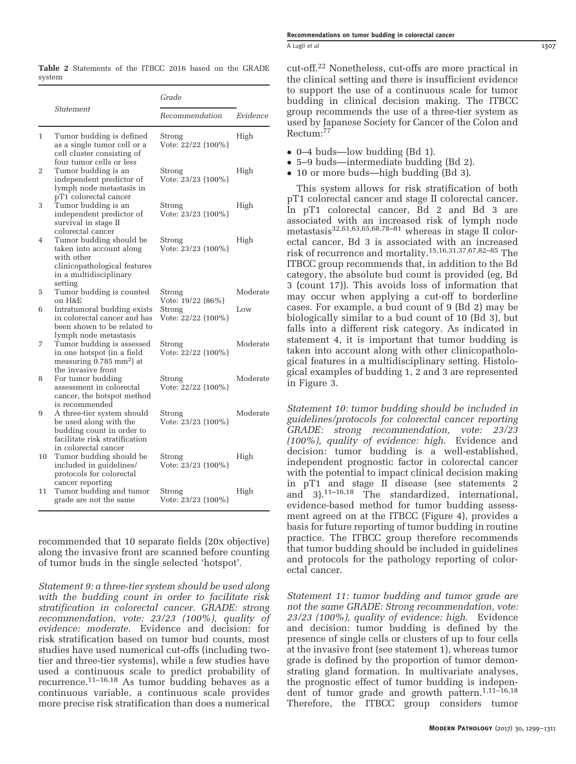|    |                                                                                                                                        | Grade                                             |          |
|----|----------------------------------------------------------------------------------------------------------------------------------------|---------------------------------------------------|----------|
|    | Statement                                                                                                                              | Recommendation                                    | Evidence |
| 1  | Tumor budding is defined<br>as a single tumor cell or a<br>cell cluster consisting of<br>four tumor cells or less                      | Strong<br>Vote: 22/22 (100%)                      | High     |
| 2  | Tumor budding is an<br>independent predictor of<br>lymph node metastasis in<br>pT1 colorectal cancer                                   | Strong<br>Vote: 23/23 (100%)                      | High     |
| 3  | Tumor budding is an<br>independent predictor of<br>survival in stage II<br>colorectal cancer                                           | Strong<br>Vote: 23/23 (100%)                      | High     |
| 4  | Tumor budding should be<br>taken into account along<br>with other<br>clinicopathological features<br>in a multidisciplinary<br>setting | Strong<br>Vote: 23/23 (100%)                      | High     |
| 5  | Tumor budding is counted                                                                                                               | Strong                                            | Moderate |
| 6  | on H&E<br>Intratumoral budding exists<br>in colorectal cancer and has<br>been shown to be related to<br>lymph node metastasis          | Vote: 19/22 (86%)<br>Strong<br>Vote: 22/22 (100%) | Low      |
| 7  | Tumor budding is assessed<br>in one hotspot (in a field<br>measuring $0.785$ mm <sup>2</sup> ) at<br>the invasive front                | Strong<br>Vote: 22/22 (100%)                      | Moderate |
| 8  | For tumor budding<br>assessment in colorectal<br>cancer, the hotspot method<br>is recommended                                          | Strong<br>Vote: 22/22 (100%)                      | Moderate |
| 9  | A three-tier system should<br>be used along with the<br>budding count in order to<br>facilitate risk stratification                    | Strong<br>Vote: 23/23 (100%)                      | Moderate |
| 10 | in colorectal cancer<br>Tumor budding should be<br>included in guidelines/<br>protocols for colorectal<br>cancer reporting             | Strong<br>Vote: 23/23 (100%)                      | High     |
| 11 | Tumor budding and tumor<br>grade are not the same                                                                                      | Strong<br>Vote: 23/23 (100%)                      | High     |

<span id="page-8-0"></span>Table 2 Statements of the ITBCC 2016 based on the GRADE system

recommended that 10 separate fields (20x objective) along the invasive front are scanned before counting of tumor buds in the single selected 'hotspot'.

Statement 9: a three-tier system should be used along with the budding count in order to facilitate risk stratification in colorectal cancer. GRADE: strong recommendation, vote: 23/23 (100%), quality of evidence: moderate. Evidence and decision: for risk stratification based on tumor bud counts, most studies have used numerical cut-offs (including twotier and three-tier systems), while a few studies have used a continuous scale to predict probability of recurrence.<sup>11–[16,](#page-9-0)[18](#page-10-0)</sup> As tumor budding behaves as a continuous variable, a continuous scale provides more precise risk stratification than does a numerical

cut-off.[22](#page-10-0) Nonetheless, cut-offs are more practical in the clinical setting and there is insufficient evidence to support the use of a continuous scale for tumor budding in clinical decision making. The ITBCC group recommends the use of a three-tier system as used by Japanese Society for Cancer of the Colon and Rectum:<sup>7</sup>

- 0–4 buds—low budding (Bd 1).
- 5–9 buds—intermediate budding (Bd 2).
- 10 or more buds—high budding (Bd 3).

This system allows for risk stratification of both pT1 colorectal cancer and stage II colorectal cancer. In pT1 colorectal cancer, Bd 2 and Bd 3 are associated with an increased risk of lymph node metastasis[32,](#page-10-0)[61,63,65,68,78](#page-11-0)–<sup>81</sup> whereas in stage II colorectal cancer, Bd 3 is associated with an increased risk of recurrence and mortality.[15,16,](#page-9-0)[31,37](#page-10-0)[,67,82](#page-11-0)–<sup>85</sup> The ITBCC group recommends that, in addition to the Bd category, the absolute bud count is provided (eg, Bd 3 (count 17)). This avoids loss of information that may occur when applying a cut-off to borderline cases. For example, a bud count of 9 (Bd 2) may be biologically similar to a bud count of 10 (Bd 3), but falls into a different risk category. As indicated in statement 4, it is important that tumor budding is taken into account along with other clinicopathological features in a multidisciplinary setting. Histological examples of budding 1, 2 and 3 are represented in [Figure 3](#page-6-0).

Statement 10: tumor budding should be included in guidelines/protocols for colorectal cancer reporting GRADE: strong recommendation, vote: 23/23 (100%), quality of evidence: high. Evidence and decision: tumor budding is a well-established, independent prognostic factor in colorectal cancer with the potential to impact clinical decision making in pT1 and stage II disease (see statements 2 and  $3$ ).<sup>11–[16,](#page-9-0)[18](#page-10-0)</sup> The standardized, international, evidence-based method for tumor budding assessment agreed on at the ITBCC [\(Figure 4\)](#page-7-0), provides a basis for future reporting of tumor budding in routine practice. The ITBCC group therefore recommends that tumor budding should be included in guidelines and protocols for the pathology reporting of colorectal cancer.

Statement 11: tumor budding and tumor grade are not the same GRADE: Strong recommendation, vote: 23/23 (100%), quality of evidence: high. Evidence and decision: tumor budding is defined by the presence of single cells or clusters of up to four cells at the invasive front (see statement 1), whereas tumor grade is defined by the proportion of tumor demonstrating gland formation. In multivariate analyses, the prognostic effect of tumor budding is indepen-dent of tumor grade and growth pattern.<sup>[1,](#page-9-0)11-[16,](#page-9-0)[18](#page-10-0)</sup> Therefore, the ITBCC group considers tumor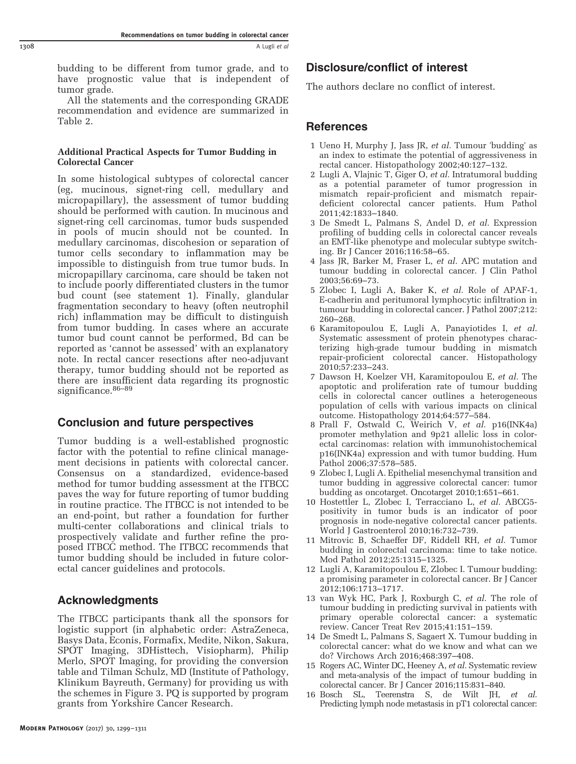<span id="page-9-0"></span>budding to be different from tumor grade, and to have prognostic value that is independent of tumor grade.

All the statements and the corresponding GRADE recommendation and evidence are summarized in [Table 2.](#page-8-0)

## Additional Practical Aspects for Tumor Budding in Colorectal Cancer

In some histological subtypes of colorectal cancer (eg, mucinous, signet-ring cell, medullary and micropapillary), the assessment of tumor budding should be performed with caution. In mucinous and signet-ring cell carcinomas, tumor buds suspended in pools of mucin should not be counted. In medullary carcinomas, discohesion or separation of tumor cells secondary to inflammation may be impossible to distinguish from true tumor buds. In micropapillary carcinoma, care should be taken not to include poorly differentiated clusters in the tumor bud count (see statement 1). Finally, glandular fragmentation secondary to heavy (often neutrophil rich) inflammation may be difficult to distinguish from tumor budding. In cases where an accurate tumor bud count cannot be performed, Bd can be reported as 'cannot be assessed' with an explanatory note. In rectal cancer resections after neo-adjuvant therapy, tumor budding should not be reported as there are insufficient data regarding its prognostic significance.<sup>[86](#page-11-0)–89</sup>

# Conclusion and future perspectives

Tumor budding is a well-established prognostic factor with the potential to refine clinical management decisions in patients with colorectal cancer. Consensus on a standardized, evidence-based method for tumor budding assessment at the ITBCC paves the way for future reporting of tumor budding in routine practice. The ITBCC is not intended to be an end-point, but rather a foundation for further multi-center collaborations and clinical trials to prospectively validate and further refine the proposed ITBCC method. The ITBCC recommends that tumor budding should be included in future colorectal cancer guidelines and protocols.

# Acknowledgments

The ITBCC participants thank all the sponsors for logistic support (in alphabetic order: AstraZeneca, Basys Data, Econis, Formafix, Medite, Nikon, Sakura, SPOT Imaging, 3DHisttech, Visiopharm), Philip Merlo, SPOT Imaging, for providing the conversion table and Tilman Schulz, MD (Institute of Pathology, Klinikum Bayreuth, Germany) for providing us with the schemes in Figure 3. PQ is supported by program grants from Yorkshire Cancer Research.

# Disclosure/conflict of interest

The authors declare no conflict of interest.

## References

- 1 Ueno H, Murphy J, Jass JR, et al. Tumour 'budding' as an index to estimate the potential of aggressiveness in rectal cancer. Histopathology 2002;40:127–132.
- 2 Lugli A, Vlajnic T, Giger O, et al. Intratumoral budding as a potential parameter of tumor progression in mismatch repair-proficient and mismatch repairdeficient colorectal cancer patients. Hum Pathol 2011;42:1833–1840.
- 3 De Smedt L, Palmans S, Andel D, et al. Expression profiling of budding cells in colorectal cancer reveals an EMT-like phenotype and molecular subtype switching. Br J Cancer 2016;116:58–65.
- 4 Jass JR, Barker M, Fraser L, et al. APC mutation and tumour budding in colorectal cancer. J Clin Pathol 2003;56:69–73.
- 5 Zlobec I, Lugli A, Baker K, et al. Role of APAF-1, E-cadherin and peritumoral lymphocytic infiltration in tumour budding in colorectal cancer. J Pathol 2007;212: 260–268.
- 6 Karamitopoulou E, Lugli A, Panayiotides I, et al. Systematic assessment of protein phenotypes characterizing high-grade tumour budding in mismatch repair-proficient colorectal cancer. Histopathology 2010;57:233–243.
- 7 Dawson H, Koelzer VH, Karamitopoulou E, et al. The apoptotic and proliferation rate of tumour budding cells in colorectal cancer outlines a heterogeneous population of cells with various impacts on clinical outcome. Histopathology 2014;64:577–584.
- 8 Prall F, Ostwald C, Weirich V, et al. p16(INK4a) promoter methylation and 9p21 allelic loss in colorectal carcinomas: relation with immunohistochemical p16(INK4a) expression and with tumor budding. Hum Pathol 2006;37:578–585.
- 9 Zlobec I, Lugli A. Epithelial mesenchymal transition and tumor budding in aggressive colorectal cancer: tumor budding as oncotarget. Oncotarget 2010;1:651–661.
- 10 Hostettler L, Zlobec I, Terracciano L, et al. ABCG5positivity in tumor buds is an indicator of poor prognosis in node-negative colorectal cancer patients. World J Gastroenterol 2010;16:732–739.
- 11 Mitrovic B, Schaeffer DF, Riddell RH, et al. Tumor budding in colorectal carcinoma: time to take notice. Mod Pathol 2012;25:1315–1325.
- 12 Lugli A, Karamitopoulou E, Zlobec I. Tumour budding: a promising parameter in colorectal cancer. Br J Cancer 2012;106:1713–1717.
- 13 van Wyk HC, Park J, Roxburgh C, et al. The role of tumour budding in predicting survival in patients with primary operable colorectal cancer: a systematic review. Cancer Treat Rev 2015;41:151–159.
- 14 De Smedt L, Palmans S, Sagaert X. Tumour budding in colorectal cancer: what do we know and what can we do? Virchows Arch 2016;468:397–408.
- 15 Rogers AC, Winter DC, Heeney A, et al. Systematic review and meta-analysis of the impact of tumour budding in colorectal cancer. Br J Cancer 2016;115:831–840.
- 16 Bosch SL, Teerenstra S, de Wilt JH, et al. Predicting lymph node metastasis in pT1 colorectal cancer: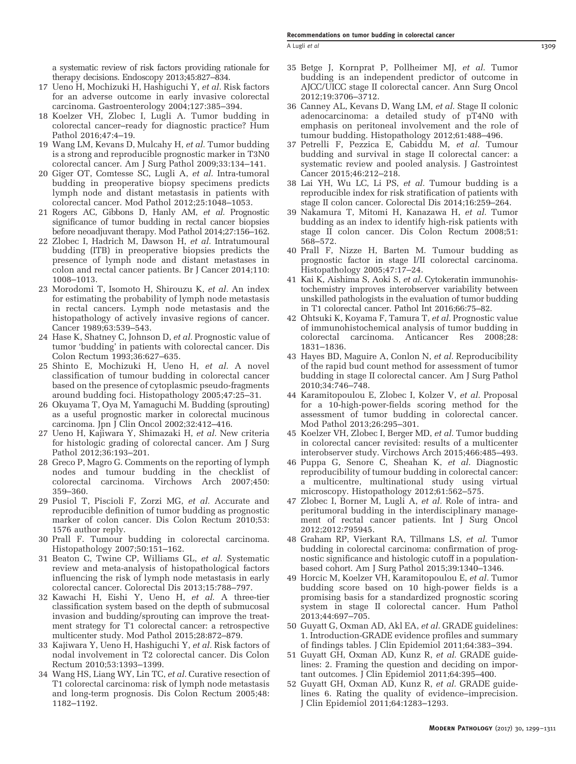A Lugli et al 1309

<span id="page-10-0"></span>a systematic review of risk factors providing rationale for therapy decisions. Endoscopy 2013;45:827–834.

- 17 Ueno H, Mochizuki H, Hashiguchi Y, et al. Risk factors for an adverse outcome in early invasive colorectal carcinoma. Gastroenterology 2004;127:385–394.
- 18 Koelzer VH, Zlobec I, Lugli A. Tumor budding in colorectal cancer–ready for diagnostic practice? Hum Pathol 2016;47:4–19.
- 19 Wang LM, Kevans D, Mulcahy H, et al. Tumor budding is a strong and reproducible prognostic marker in T3N0 colorectal cancer. Am J Surg Pathol 2009;33:134–141.
- 20 Giger OT, Comtesse SC, Lugli A, et al. Intra-tumoral budding in preoperative biopsy specimens predicts lymph node and distant metastasis in patients with colorectal cancer. Mod Pathol 2012;25:1048–1053.
- 21 Rogers AC, Gibbons D, Hanly AM, et al. Prognostic significance of tumor budding in rectal cancer biopsies before neoadjuvant therapy. Mod Pathol 2014;27:156–162.
- 22 Zlobec I, Hadrich M, Dawson H, et al. Intratumoural budding (ITB) in preoperative biopsies predicts the presence of lymph node and distant metastases in colon and rectal cancer patients. Br J Cancer 2014;110: 1008–1013.
- 23 Morodomi T, Isomoto H, Shirouzu K, et al. An index for estimating the probability of lymph node metastasis in rectal cancers. Lymph node metastasis and the histopathology of actively invasive regions of cancer. Cancer 1989;63:539–543.
- 24 Hase K, Shatney C, Johnson D, et al. Prognostic value of tumor 'budding' in patients with colorectal cancer. Dis Colon Rectum 1993;36:627–635.
- 25 Shinto E, Mochizuki H, Ueno H, et al. A novel classification of tumour budding in colorectal cancer based on the presence of cytoplasmic pseudo-fragments around budding foci. Histopathology 2005;47:25–31.
- 26 Okuyama T, Oya M, Yamaguchi M. Budding (sprouting) as a useful prognostic marker in colorectal mucinous carcinoma. Jpn J Clin Oncol 2002;32:412–416.
- 27 Ueno H, Kajiwara Y, Shimazaki H, et al. New criteria for histologic grading of colorectal cancer. Am J Surg Pathol 2012;36:193–201.
- 28 Greco P, Magro G. Comments on the reporting of lymph nodes and tumour budding in the checklist of colorectal carcinoma. Virchows Arch 2007;450: 359–360.
- 29 Pusiol T, Piscioli F, Zorzi MG, et al. Accurate and reproducible definition of tumor budding as prognostic marker of colon cancer. Dis Colon Rectum 2010;53: 1576 author reply.
- 30 Prall F. Tumour budding in colorectal carcinoma. Histopathology 2007;50:151–162.
- 31 Beaton C, Twine CP, Williams GL, et al. Systematic review and meta-analysis of histopathological factors influencing the risk of lymph node metastasis in early colorectal cancer. Colorectal Dis 2013;15:788–797.
- 32 Kawachi H, Eishi Y, Ueno H, et al. A three-tier classification system based on the depth of submucosal invasion and budding/sprouting can improve the treatment strategy for T1 colorectal cancer: a retrospective multicenter study. Mod Pathol 2015;28:872–879.
- 33 Kajiwara Y, Ueno H, Hashiguchi Y, et al. Risk factors of nodal involvement in T2 colorectal cancer. Dis Colon Rectum 2010;53:1393–1399.
- 34 Wang HS, Liang WY, Lin TC, et al. Curative resection of T1 colorectal carcinoma: risk of lymph node metastasis and long-term prognosis. Dis Colon Rectum 2005;48: 1182–1192.
- 35 Betge J, Kornprat P, Pollheimer MJ, et al. Tumor budding is an independent predictor of outcome in AJCC/UICC stage II colorectal cancer. Ann Surg Oncol 2012;19:3706–3712.
- 36 Canney AL, Kevans D, Wang LM, et al. Stage II colonic adenocarcinoma: a detailed study of pT4N0 with emphasis on peritoneal involvement and the role of tumour budding. Histopathology 2012;61:488–496.
- 37 Petrelli F, Pezzica E, Cabiddu M, et al. Tumour budding and survival in stage II colorectal cancer: a systematic review and pooled analysis. J Gastrointest Cancer 2015;46:212–218.
- 38 Lai YH, Wu LC, Li PS, et al. Tumour budding is a reproducible index for risk stratification of patients with stage II colon cancer. Colorectal Dis 2014;16:259–264.
- 39 Nakamura T, Mitomi H, Kanazawa H, et al. Tumor budding as an index to identify high-risk patients with stage II colon cancer. Dis Colon Rectum 2008;51: 568–572.
- 40 Prall F, Nizze H, Barten M. Tumour budding as prognostic factor in stage I/II colorectal carcinoma. Histopathology 2005;47:17–24.
- 41 Kai K, Aishima S, Aoki S, et al. Cytokeratin immunohistochemistry improves interobserver variability between unskilled pathologists in the evaluation of tumor budding in T1 colorectal cancer. Pathol Int 2016;66:75–82.
- 42 Ohtsuki K, Koyama F, Tamura T, et al. Prognostic value of immunohistochemical analysis of tumor budding in colorectal carcinoma. Anticancer Res 2008;28: 1831–1836.
- 43 Hayes BD, Maguire A, Conlon N, et al. Reproducibility of the rapid bud count method for assessment of tumor budding in stage II colorectal cancer. Am J Surg Pathol 2010;34:746–748.
- 44 Karamitopoulou E, Zlobec I, Kolzer V, et al. Proposal for a 10-high-power-fields scoring method for the assessment of tumor budding in colorectal cancer. Mod Pathol 2013;26:295–301.
- 45 Koelzer VH, Zlobec I, Berger MD, et al. Tumor budding in colorectal cancer revisited: results of a multicenter interobserver study. Virchows Arch 2015;466:485–493.
- 46 Puppa G, Senore C, Sheahan K, et al. Diagnostic reproducibility of tumour budding in colorectal cancer: a multicentre, multinational study using virtual microscopy. Histopathology 2012;61:562–575.
- 47 Zlobec I, Borner M, Lugli A, et al. Role of intra- and peritumoral budding in the interdisciplinary management of rectal cancer patients. Int J Surg Oncol 2012;2012:795945.
- 48 Graham RP, Vierkant RA, Tillmans LS, et al. Tumor budding in colorectal carcinoma: confirmation of prognostic significance and histologic cutoff in a populationbased cohort. Am J Surg Pathol 2015;39:1340–1346.
- 49 Horcic M, Koelzer VH, Karamitopoulou E, et al. Tumor budding score based on 10 high-power fields is a promising basis for a standardized prognostic scoring system in stage II colorectal cancer. Hum Pathol 2013;44:697–705.
- 50 Guyatt G, Oxman AD, Akl EA, et al. GRADE guidelines: 1. Introduction-GRADE evidence profiles and summary of findings tables. J Clin Epidemiol 2011;64:383–394.
- 51 Guyatt GH, Oxman AD, Kunz R, et al. GRADE guidelines: 2. Framing the question and deciding on important outcomes. J Clin Epidemiol 2011;64:395–400.
- 52 Guyatt GH, Oxman AD, Kunz R, et al. GRADE guidelines 6. Rating the quality of evidence–imprecision. J Clin Epidemiol 2011;64:1283–1293.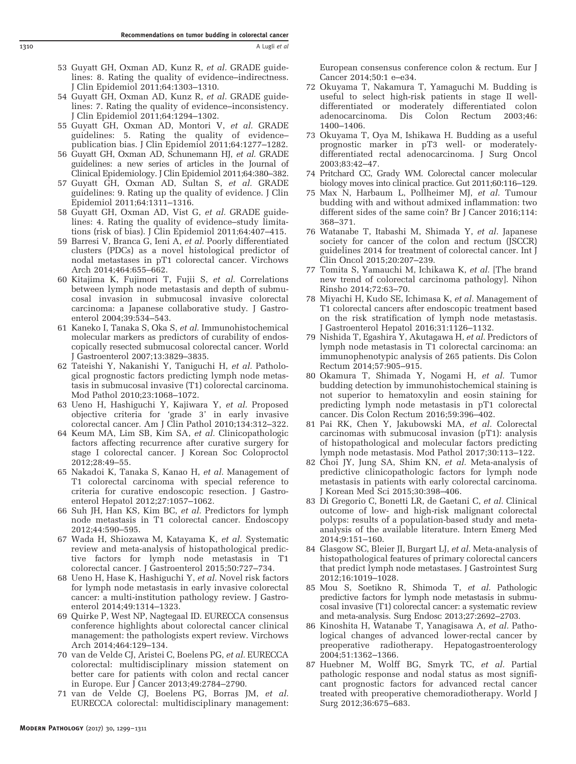- <span id="page-11-0"></span>53 Guyatt GH, Oxman AD, Kunz R, et al. GRADE guidelines: 8. Rating the quality of evidence–indirectness. J Clin Epidemiol 2011;64:1303–1310.
- 54 Guyatt GH, Oxman AD, Kunz R, et al. GRADE guidelines: 7. Rating the quality of evidence–inconsistency. J Clin Epidemiol 2011;64:1294–1302.
- 55 Guyatt GH, Oxman AD, Montori V, et al. GRADE guidelines: 5. Rating the quality of evidence– publication bias. J Clin Epidemiol 2011;64:1277–1282.
- 56 Guyatt GH, Oxman AD, Schunemann HJ, et al. GRADE guidelines: a new series of articles in the Journal of Clinical Epidemiology. J Clin Epidemiol 2011;64:380–382.
- 57 Guyatt GH, Oxman AD, Sultan S, et al. GRADE guidelines: 9. Rating up the quality of evidence. J Clin Epidemiol 2011;64:1311–1316.
- 58 Guyatt GH, Oxman AD, Vist G, et al. GRADE guidelines: 4. Rating the quality of evidence–study limitations (risk of bias). J Clin Epidemiol 2011;64:407–415.
- 59 Barresi V, Branca G, Ieni A, et al. Poorly differentiated clusters (PDCs) as a novel histological predictor of nodal metastases in pT1 colorectal cancer. Virchows Arch 2014;464:655–662.
- 60 Kitajima K, Fujimori T, Fujii S, et al. Correlations between lymph node metastasis and depth of submucosal invasion in submucosal invasive colorectal carcinoma: a Japanese collaborative study. J Gastroenterol 2004;39:534–543.
- 61 Kaneko I, Tanaka S, Oka S, et al. Immunohistochemical molecular markers as predictors of curability of endoscopically resected submucosal colorectal cancer. World J Gastroenterol 2007;13:3829–3835.
- 62 Tateishi Y, Nakanishi Y, Taniguchi H, et al. Pathological prognostic factors predicting lymph node metastasis in submucosal invasive (T1) colorectal carcinoma. Mod Pathol 2010;23:1068–1072.
- 63 Ueno H, Hashiguchi Y, Kajiwara Y, et al. Proposed objective criteria for 'grade 3' in early invasive colorectal cancer. Am J Clin Pathol 2010;134:312–322.
- 64 Keum MA, Lim SB, Kim SA, et al. Clinicopathologic factors affecting recurrence after curative surgery for stage I colorectal cancer. J Korean Soc Coloproctol 2012;28:49–55.
- 65 Nakadoi K, Tanaka S, Kanao H, et al. Management of T1 colorectal carcinoma with special reference to criteria for curative endoscopic resection. J Gastroenterol Hepatol 2012;27:1057–1062.
- 66 Suh JH, Han KS, Kim BC, et al. Predictors for lymph node metastasis in T1 colorectal cancer. Endoscopy 2012;44:590–595.
- 67 Wada H, Shiozawa M, Katayama K, et al. Systematic review and meta-analysis of histopathological predictive factors for lymph node metastasis in T1 colorectal cancer. J Gastroenterol 2015;50:727–734.
- 68 Ueno H, Hase K, Hashiguchi Y, et al. Novel risk factors for lymph node metastasis in early invasive colorectal cancer: a multi-institution pathology review. J Gastroenterol 2014;49:1314–1323.
- 69 Quirke P, West NP, Nagtegaal ID. EURECCA consensus conference highlights about colorectal cancer clinical management: the pathologists expert review. Virchows Arch 2014;464:129–134.
- 70 van de Velde CJ, Aristei C, Boelens PG, et al. EURECCA colorectal: multidisciplinary mission statement on better care for patients with colon and rectal cancer in Europe. Eur J Cancer 2013;49:2784–2790.
- 71 van de Velde CJ, Boelens PG, Borras JM, et al. EURECCA colorectal: multidisciplinary management:

European consensus conference colon & rectum. Eur J Cancer 2014;50:1 e–e34.

- 72 Okuyama T, Nakamura T, Yamaguchi M. Budding is useful to select high-risk patients in stage II welldifferentiated or moderately differentiated colon adenocarcinoma. Dis Colon Rectum 2003;46: 1400–1406.
- 73 Okuyama T, Oya M, Ishikawa H. Budding as a useful prognostic marker in pT3 well- or moderatelydifferentiated rectal adenocarcinoma. J Surg Oncol 2003;83:42–47.
- 74 Pritchard CC, Grady WM. Colorectal cancer molecular biology moves into clinical practice. Gut 2011;60:116–129.
- 75 Max N, Harbaum L, Pollheimer MJ, et al. Tumour budding with and without admixed inflammation: two different sides of the same coin? Br J Cancer 2016;114: 368–371.
- 76 Watanabe T, Itabashi M, Shimada Y, et al. Japanese society for cancer of the colon and rectum (JSCCR) guidelines 2014 for treatment of colorectal cancer. Int J Clin Oncol 2015;20:207–239.
- 77 Tomita S, Yamauchi M, Ichikawa K, et al. [The brand new trend of colorectal carcinoma pathology]. Nihon Rinsho 2014;72:63–70.
- 78 Miyachi H, Kudo SE, Ichimasa K, et al. Management of T1 colorectal cancers after endoscopic treatment based on the risk stratification of lymph node metastasis. J Gastroenterol Hepatol 2016;31:1126–1132.
- 79 Nishida T, Egashira Y, Akutagawa H, et al. Predictors of lymph node metastasis in T1 colorectal carcinoma: an immunophenotypic analysis of 265 patients. Dis Colon Rectum 2014;57:905–915.
- 80 Okamura T, Shimada Y, Nogami H, et al. Tumor budding detection by immunohistochemical staining is not superior to hematoxylin and eosin staining for predicting lymph node metastasis in pT1 colorectal cancer. Dis Colon Rectum 2016;59:396–402.
- 81 Pai RK, Chen Y, Jakubowski MA, et al. Colorectal carcinomas with submucosal invasion (pT1): analysis of histopathological and molecular factors predicting lymph node metastasis. Mod Pathol 2017;30:113–122.
- 82 Choi JY, Jung SA, Shim KN, et al. Meta-analysis of predictive clinicopathologic factors for lymph node metastasis in patients with early colorectal carcinoma. J Korean Med Sci 2015;30:398–406.
- 83 Di Gregorio C, Bonetti LR, de Gaetani C, et al. Clinical outcome of low- and high-risk malignant colorectal polyps: results of a population-based study and metaanalysis of the available literature. Intern Emerg Med 2014;9:151–160.
- 84 Glasgow SC, Bleier JI, Burgart LJ, et al. Meta-analysis of histopathological features of primary colorectal cancers that predict lymph node metastases. J Gastrointest Surg 2012;16:1019–1028.
- 85 Mou S, Soetikno R, Shimoda T, et al. Pathologic predictive factors for lymph node metastasis in submucosal invasive (T1) colorectal cancer: a systematic review and meta-analysis. Surg Endosc 2013;27:2692–2703.
- 86 Kinoshita H, Watanabe T, Yanagisawa A, et al. Pathological changes of advanced lower-rectal cancer by preoperative radiotherapy. Hepatogastroenterology 2004;51:1362–1366.
- 87 Huebner M, Wolff BG, Smyrk TC, et al. Partial pathologic response and nodal status as most significant prognostic factors for advanced rectal cancer treated with preoperative chemoradiotherapy. World J Surg 2012;36:675–683.